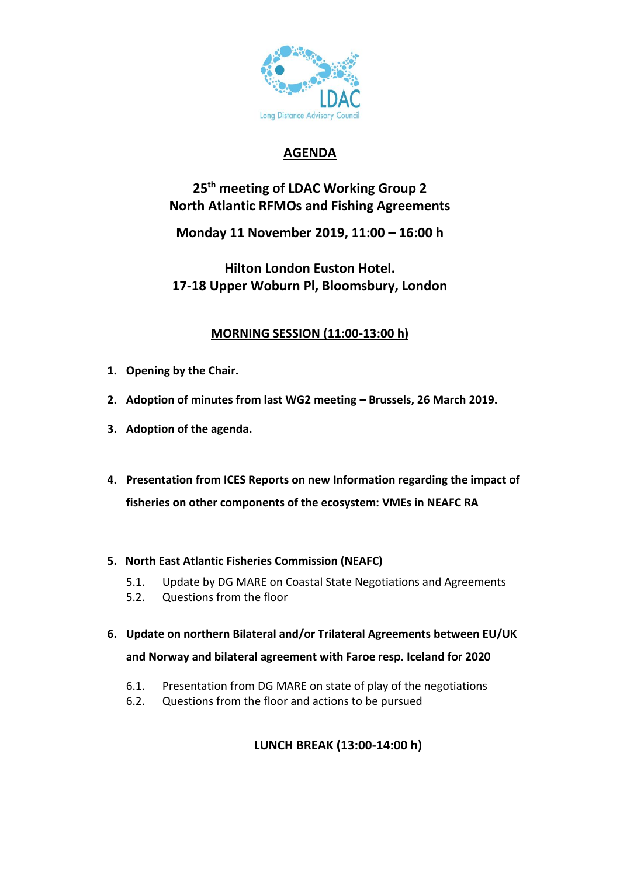

## **AGENDA**

# **25 th meeting of LDAC Working Group 2 North Atlantic RFMOs and Fishing Agreements**

**Monday 11 November 2019, 11:00 – 16:00 h**

**Hilton London Euston Hotel. 17-18 Upper Woburn Pl, Bloomsbury, London** 

### **MORNING SESSION (11:00-13:00 h)**

- **1. Opening by the Chair.**
- **2. Adoption of minutes from last WG2 meeting – Brussels, 26 March 2019.**
- **3. Adoption of the agenda.**
- **4. Presentation from ICES Reports on new Information regarding the impact of fisheries on other components of the ecosystem: VMEs in NEAFC RA**

#### **5. North East Atlantic Fisheries Commission (NEAFC)**

- 5.1. Update by DG MARE on Coastal State Negotiations and Agreements
- 5.2. Questions from the floor
- **6. Update on northern Bilateral and/or Trilateral Agreements between EU/UK and Norway and bilateral agreement with Faroe resp. Iceland for 2020**
	- 6.1. Presentation from DG MARE on state of play of the negotiations
	- 6.2. Questions from the floor and actions to be pursued

### **LUNCH BREAK (13:00-14:00 h)**